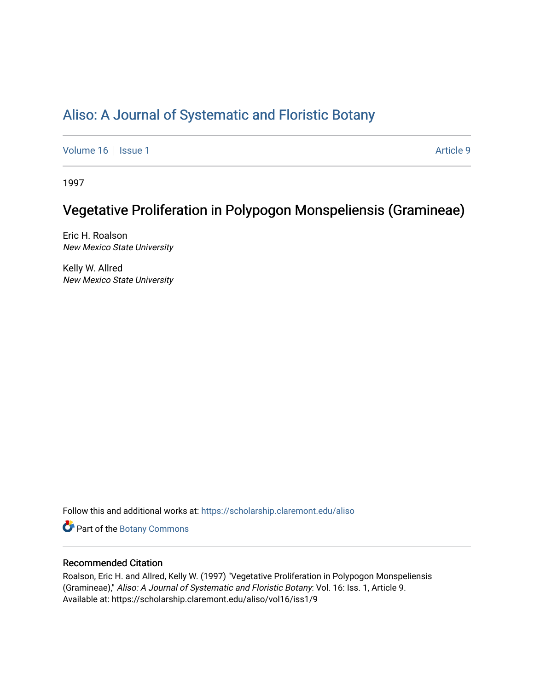## [Aliso: A Journal of Systematic and Floristic Botany](https://scholarship.claremont.edu/aliso)

[Volume 16](https://scholarship.claremont.edu/aliso/vol16) | [Issue 1](https://scholarship.claremont.edu/aliso/vol16/iss1) Article 9

1997

# Vegetative Proliferation in Polypogon Monspeliensis (Gramineae)

Eric H. Roalson New Mexico State University

Kelly W. Allred New Mexico State University

Follow this and additional works at: [https://scholarship.claremont.edu/aliso](https://scholarship.claremont.edu/aliso?utm_source=scholarship.claremont.edu%2Faliso%2Fvol16%2Fiss1%2F9&utm_medium=PDF&utm_campaign=PDFCoverPages) 

Part of the [Botany Commons](https://network.bepress.com/hgg/discipline/104?utm_source=scholarship.claremont.edu%2Faliso%2Fvol16%2Fiss1%2F9&utm_medium=PDF&utm_campaign=PDFCoverPages) 

### Recommended Citation

Roalson, Eric H. and Allred, Kelly W. (1997) "Vegetative Proliferation in Polypogon Monspeliensis (Gramineae)," Aliso: A Journal of Systematic and Floristic Botany: Vol. 16: Iss. 1, Article 9. Available at: https://scholarship.claremont.edu/aliso/vol16/iss1/9